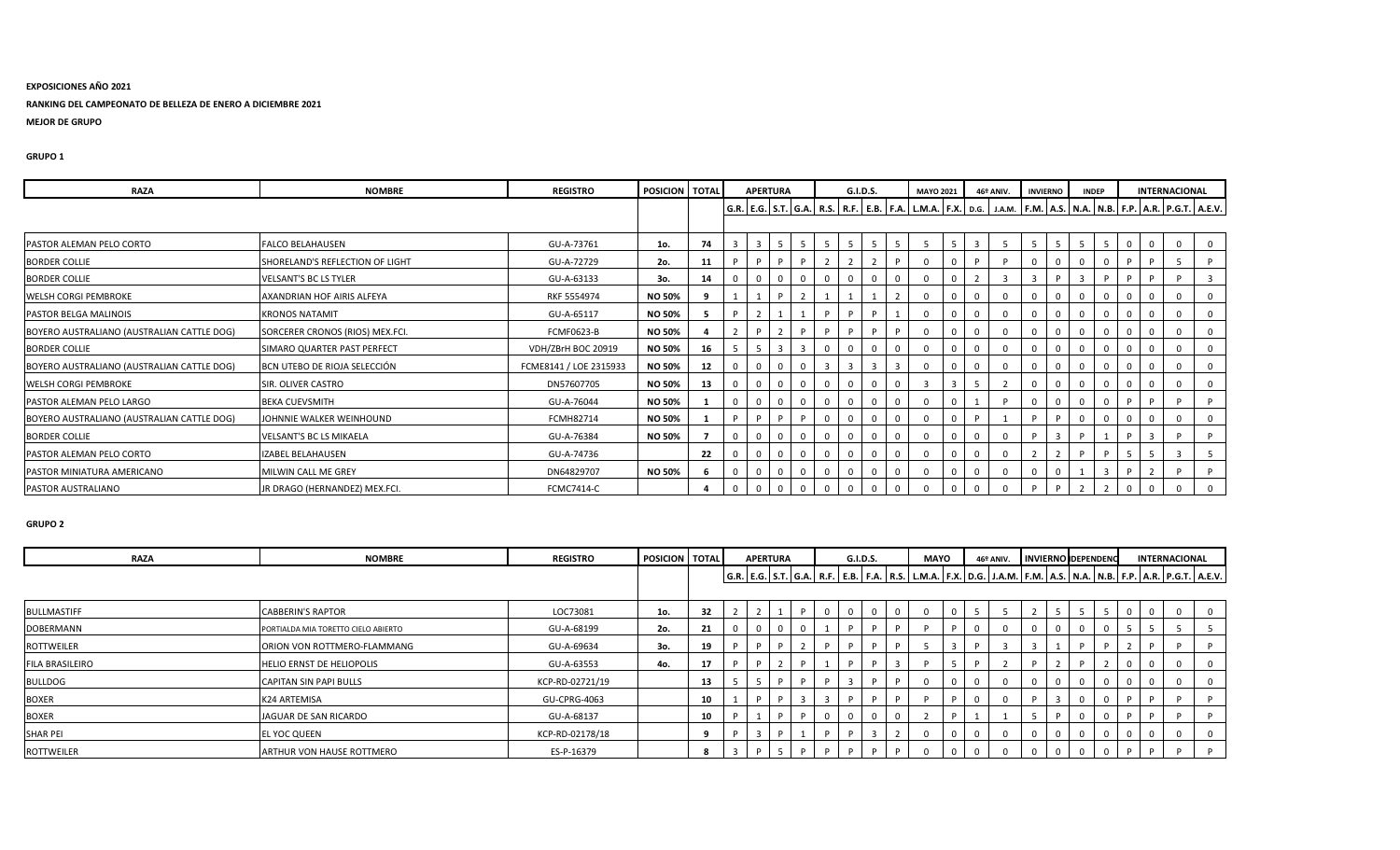## **EXPOSICIONES AÑO 2021**

## **RANKING DEL CAMPEONATO DE BELLEZA DE ENERO A DICIEMBRE 2021**

**MEJOR DE GRUPO**

### **GRUPO 1**

| <b>RAZA</b>                                | <b>NOMBRE</b>                   | <b>REGISTRO</b>        | POSICION TOTAL |    | <b>APERTURA</b> |                |   |                |             | G.I.D.S. |          | <b>MAYO 2021</b> |                |    | 46º ANIV. | <b>INVIERNO</b> | <b>INDEP</b> |   | INTERNACIONAL                                                                                                                                     |          |
|--------------------------------------------|---------------------------------|------------------------|----------------|----|-----------------|----------------|---|----------------|-------------|----------|----------|------------------|----------------|----|-----------|-----------------|--------------|---|---------------------------------------------------------------------------------------------------------------------------------------------------|----------|
|                                            |                                 |                        |                |    |                 |                |   |                |             |          |          |                  |                |    |           |                 |              |   | G.R.   E.G.   S.T.   G.A.   R.S.   R.F.   E.B.   F.A.   L.M.A.   F.X.   D.G.   J.A.M.   F.M.   A.S.   N.A.   N.B.   F.P.   A.R.   P.G.T.   A.E.V. |          |
| <b>PASTOR ALEMAN PELO CORTO</b>            | <b>FALCO BELAHAUSEN</b>         | GU-A-73761             | 1o.            | 74 |                 | $5-1$          |   | -5             |             |          |          |                  |                |    |           |                 | -5           |   |                                                                                                                                                   |          |
| <b>BORDER COLLIE</b>                       | SHORELAND'S REFLECTION OF LIGHT | GU-A-72729             | 2o.            | 11 |                 |                |   |                |             |          |          |                  | $\Omega$       |    |           |                 |              |   |                                                                                                                                                   |          |
| <b>BORDER COLLIE</b>                       | VELSANT'S BC LS TYLER           | GU-A-63133             | 3о.            | 14 |                 | $\mathbf{0}$   |   |                | $\mathbf 0$ |          |          |                  | $\Omega$       |    |           | D               |              | D |                                                                                                                                                   |          |
| WELSH CORGI PEMBROKE                       | AXANDRIAN HOF AIRIS ALFEYA      | RKF 5554974            | <b>NO 50%</b>  |    |                 | D.             |   |                |             |          |          |                  | $\Omega$       |    |           |                 |              |   |                                                                                                                                                   |          |
| PASTOR BELGA MALINOIS                      | <b>KRONOS NATAMIT</b>           | GU-A-65117             | <b>NO 50%</b>  | 5  |                 |                |   |                | D           |          |          |                  | $\Omega$       |    |           |                 |              |   |                                                                                                                                                   |          |
| BOYERO AUSTRALIANO (AUSTRALIAN CATTLE DOG) | SORCERER CRONOS (RIOS) MEX.FCI. | <b>FCMF0623-B</b>      | <b>NO 50%</b>  |    |                 | $\mathcal{P}$  |   |                | D           |          |          |                  | $\Omega$       |    |           |                 |              |   |                                                                                                                                                   |          |
| <b>BORDER COLLIE</b>                       | SIMARO QUARTER PAST PERFECT     | VDH/ZBrH BOC 20919     | <b>NO 50%</b>  | 16 |                 | $\overline{3}$ | 3 |                | $\mathbf 0$ |          | $\Omega$ |                  | $\Omega$       |    |           |                 |              |   |                                                                                                                                                   |          |
| BOYERO AUSTRALIANO (AUSTRALIAN CATTLE DOG) | BCN UTEBO DE RIOJA SELECCIÓN    | FCME8141 / LOE 2315933 | <b>NO 50%</b>  | 12 |                 | $\mathbf{0}$   |   | $\overline{3}$ |             |          |          |                  | $\Omega$       |    |           |                 |              |   |                                                                                                                                                   |          |
| <b>WELSH CORGI PEMBROKE</b>                | SIR. OLIVER CASTRO              | DN57607705             | <b>NO 50%</b>  | 13 |                 | $\mathbf{0}$   |   |                | $\mathbf 0$ |          |          |                  | $\overline{3}$ | -5 |           |                 |              |   |                                                                                                                                                   |          |
| PASTOR ALEMAN PELO LARGO                   | <b>BEKA CUEVSMITH</b>           | GU-A-76044             | <b>NO 50%</b>  |    |                 | $\mathbf{0}$   |   |                | $\mathbf 0$ |          |          |                  | $\Omega$       |    |           |                 |              | D |                                                                                                                                                   | <b>P</b> |
| BOYERO AUSTRALIANO (AUSTRALIAN CATTLE DOG) | JOHNNIE WALKER WEINHOUND        | FCMH82714              | <b>NO 50%</b>  |    |                 |                |   |                | $\mathbf 0$ |          | 0        |                  | $\Omega$       |    |           |                 |              |   |                                                                                                                                                   |          |
| <b>BORDER COLLIE</b>                       | <b>VELSANT'S BC LS MIKAELA</b>  | GU-A-76384             | <b>NO 50%</b>  |    |                 | $\mathbf{0}$   |   |                | $\mathbf 0$ |          | $\Omega$ |                  | $\Omega$       |    |           | 3               |              |   |                                                                                                                                                   |          |
| PASTOR ALEMAN PELO CORTO                   | IZABEL BELAHAUSEN               | GU-A-74736             |                | 22 |                 | $\mathbf 0$    |   |                | $\mathbf 0$ |          |          |                  | $\Omega$       |    |           |                 | D            | 5 | -3                                                                                                                                                | -5       |
| PASTOR MINIATURA AMERICANO                 | MILWIN CALL ME GREY             | DN64829707             | <b>NO 50%</b>  | -6 |                 | $\mathbf 0$    |   |                | $\mathbf 0$ |          |          |                  |                |    |           |                 |              |   |                                                                                                                                                   |          |
| PASTOR AUSTRALIANO                         | JR DRAGO (HERNANDEZ) MEX.FCI.   | <b>FCMC7414-C</b>      |                |    |                 | $\Omega$       |   |                | $\Omega$    |          |          |                  |                |    |           |                 |              |   |                                                                                                                                                   |          |

| <b>RAZA</b>            | <b>NOMBRE</b>                       | <b>REGISTRO</b> | POSICION TOTAL |    | <b>APERTURA</b> |              | G.I.D.S. |  | <b>MAYO</b>                                                                                                                                       |  | 46º ANIV. | <b>INVIERNO DEPENDENC</b> |  |  | <b>INTERNACIONAL</b> |  |
|------------------------|-------------------------------------|-----------------|----------------|----|-----------------|--------------|----------|--|---------------------------------------------------------------------------------------------------------------------------------------------------|--|-----------|---------------------------|--|--|----------------------|--|
|                        |                                     |                 |                |    |                 |              |          |  | G.R.   E.G.   S.T.   G.A.   R.F.   E.B.   F.A.   R.S.   L.M.A.   F.X.   D.G.   J.A.M.   F.M.   A.S.   N.A.   N.B.   F.P.   A.R.   P.G.T.   A.E.V. |  |           |                           |  |  |                      |  |
|                        |                                     |                 |                |    |                 |              |          |  |                                                                                                                                                   |  |           |                           |  |  |                      |  |
| <b>BULLMASTIFF</b>     | <b>CABBERIN'S RAPTOR</b>            | LOC73081        | 1o.            | 32 |                 | <b>P</b>     |          |  | 0                                                                                                                                                 |  |           |                           |  |  |                      |  |
| DOBERMANN              | PORTIALDA MIA TORETTO CIELO ABIERTO | GU-A-68199      | 2o.            | 21 |                 |              |          |  |                                                                                                                                                   |  |           |                           |  |  |                      |  |
| <b>ROTTWEILER</b>      | ORION VON ROTTMERO-FLAMMANG         | GU-A-69634      | 3о.            | 19 |                 |              |          |  |                                                                                                                                                   |  |           |                           |  |  |                      |  |
| <b>FILA BRASILEIRO</b> | <b>HELIO ERNST DE HELIOPOLIS</b>    | GU-A-63553      | 4o.            | 17 |                 |              |          |  |                                                                                                                                                   |  |           |                           |  |  |                      |  |
| <b>BULLDOG</b>         | <b>CAPITAN SIN PAPI BULLS</b>       | KCP-RD-02721/19 |                | 13 |                 |              |          |  | 0                                                                                                                                                 |  |           |                           |  |  |                      |  |
| <b>BOXER</b>           | K24 ARTEMISA                        | GU-CPRG-4063    |                | 10 |                 | $\mathbf{R}$ |          |  |                                                                                                                                                   |  |           |                           |  |  |                      |  |
| <b>BOXER</b>           | JAGUAR DE SAN RICARDO               | GU-A-68137      |                | 10 |                 |              |          |  |                                                                                                                                                   |  |           |                           |  |  |                      |  |
| <b>SHAR PEI</b>        | <b>EL YOC QUEEN</b>                 | KCP-RD-02178/18 |                |    |                 |              |          |  | <sup>0</sup>                                                                                                                                      |  |           |                           |  |  |                      |  |
| <b>ROTTWEILER</b>      | <b>ARTHUR VON HAUSE ROTTMERO</b>    | ES-P-16379      |                | 8  |                 |              |          |  |                                                                                                                                                   |  |           |                           |  |  |                      |  |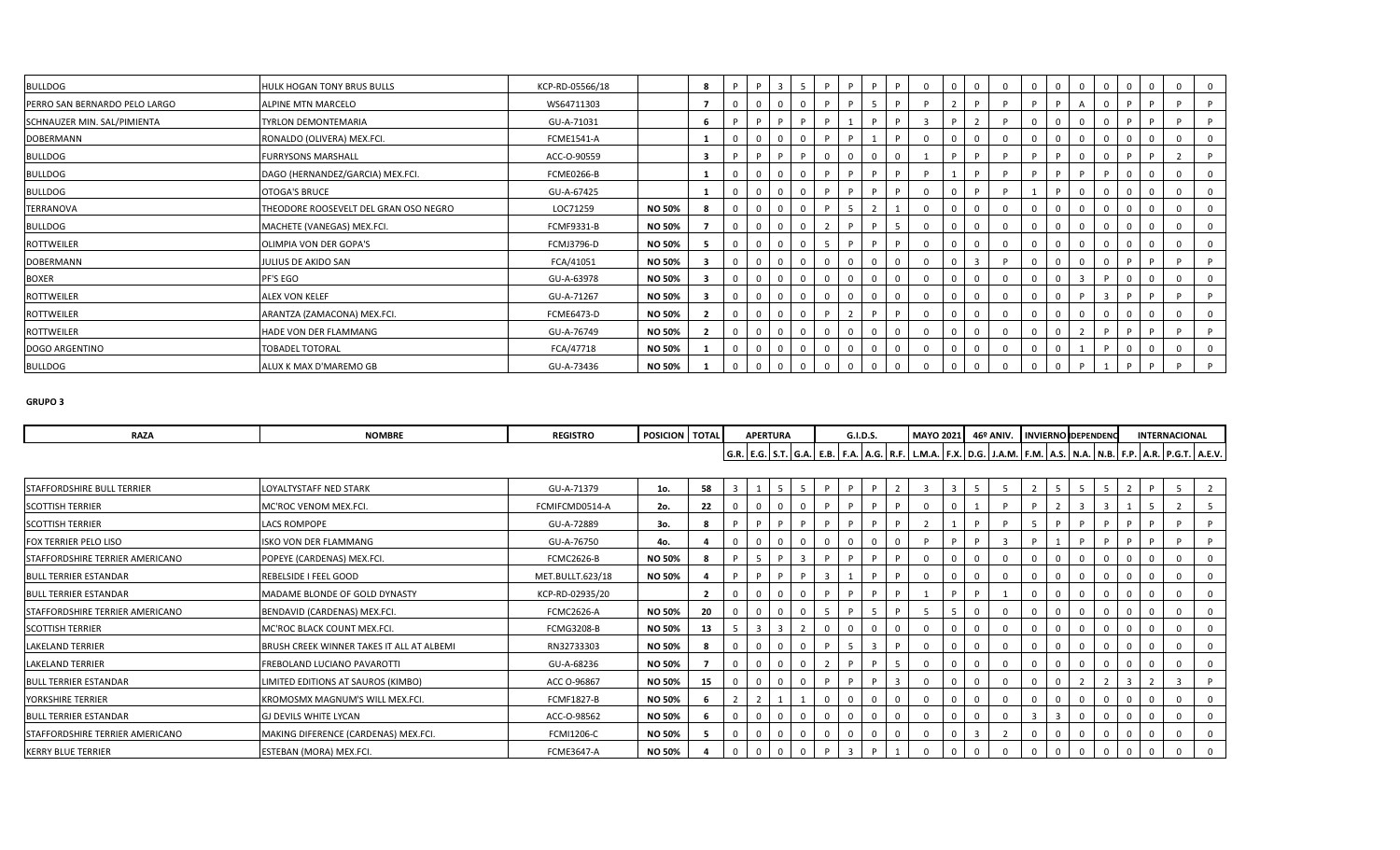| <b>BULLDOG</b>                | HULK HOGAN TONY BRUS BULLS            | KCP-RD-05566/18   |        | 8            |              | $\overline{3}$ |    | D. |   | 0  |  |  |  | $\mathbf 0$ |  |
|-------------------------------|---------------------------------------|-------------------|--------|--------------|--------------|----------------|----|----|---|----|--|--|--|-------------|--|
| PERRO SAN BERNARDO PELO LARGO | <b>ALPINE MTN MARCELO</b>             | WS64711303        |        | 7            |              | $\mathbf 0$    |    |    | D |    |  |  |  |             |  |
| SCHNAUZER MIN. SAL/PIMIENTA   | <b>TYRLON DEMONTEMARIA</b>            | GU-A-71031        |        | 6            |              | D.             |    |    |   |    |  |  |  |             |  |
| DOBERMANN                     | RONALDO (OLIVERA) MEX.FCI.            | <b>FCME1541-A</b> |        | -1           |              | $\mathbf 0$    |    |    |   |    |  |  |  |             |  |
| <b>BULLDOG</b>                | <b>FURRYSONS MARSHALL</b>             | ACC-O-90559       |        | $\mathbf{3}$ |              | <b>D</b>       |    |    |   |    |  |  |  |             |  |
| BULLDOG                       | DAGO (HERNANDEZ/GARCIA) MEX.FCI.      | FCME0266-B        |        | -1           | 0            | $\mathbf 0$    |    |    |   |    |  |  |  |             |  |
| BULLDOG                       | <b>OTOGA'S BRUCE</b>                  | GU-A-67425        |        |              |              | $\overline{0}$ |    |    |   |    |  |  |  |             |  |
| TERRANOVA                     | THEODORE ROOSEVELT DEL GRAN OSO NEGRO | LOC71259          | NO 50% | 8            | 0            | $\mathbf 0$    |    |    |   |    |  |  |  | 0           |  |
| BULLDOG                       | MACHETE (VANEGAS) MEX.FCI.            | <b>FCMF9331-B</b> | NO 50% |              | 0            | $\mathbf 0$    |    |    |   |    |  |  |  | $\Omega$    |  |
| ROTTWEILER                    | OLIMPIA VON DER GOPA'S                | FCMJ3796-D        | NO 50% | -5           | 0            | $\mathbf{0}$   | -5 | P  |   | -0 |  |  |  | 0           |  |
| DOBERMANN                     | JULIUS DE AKIDO SAN                   | FCA/41051         | NO 50% | -3           | - 0          | $\mathbf 0$    |    |    |   |    |  |  |  |             |  |
| BOXER                         | PF'S EGO                              | GU-A-63978        | NO 50% | з            |              | $\Omega$       |    |    |   |    |  |  |  |             |  |
| ROTTWEILER                    | <b>ALEX VON KELEF</b>                 | GU-A-71267        | NO 50% | -3           |              | $\mathbf 0$    |    |    |   |    |  |  |  |             |  |
| ROTTWEILER                    | ARANTZA (ZAMACONA) MEX.FCI.           | <b>FCME6473-D</b> | NO 50% |              | $\Omega$     | $\mathbf 0$    |    |    |   |    |  |  |  | $\Omega$    |  |
| ROTTWEILER                    | HADE VON DER FLAMMANG                 | GU-A-76749        | NO 50% | 2            | $\mathbf{0}$ | $\mathbf 0$    |    |    |   |    |  |  |  | D           |  |
| DOGO ARGENTINO                | <b>TOBADEL TOTORAL</b>                | FCA/47718         | NO 50% |              | 0            | $\mathbf 0$    |    |    |   |    |  |  |  | 0           |  |
| BULLDOG                       | ALUX K MAX D'MAREMO GB                | GU-A-73436        | NO 50% |              | 0            | $\mathbf 0$    |    |    |   |    |  |  |  |             |  |

| <b>RAZA</b>                       | <b>NOMBRE</b>                             | <b>REGISTRO</b>   | POSICION TOTAL |    |              | <b>APERTURA</b> |          |                |                | G.I.D.S. |                |   | MAYO 2021 46º ANIV. INVIERNO DEPENDENC |   |          |              |             |                         |             |  | INTERNACIONAL                                                                                                                                     |  |
|-----------------------------------|-------------------------------------------|-------------------|----------------|----|--------------|-----------------|----------|----------------|----------------|----------|----------------|---|----------------------------------------|---|----------|--------------|-------------|-------------------------|-------------|--|---------------------------------------------------------------------------------------------------------------------------------------------------|--|
|                                   |                                           |                   |                |    |              |                 |          |                |                |          |                |   |                                        |   |          |              |             |                         |             |  | G.R.   E.G.   S.T.   G.A.   E.B.   F.A.   A.G.   R.F.   L.M.A.   F.X.   D.G.   J.A.M.   F.M.   A.S.   N.A.   N.B.   F.P.   A.R.   P.G.T.   A.E.V. |  |
|                                   |                                           |                   |                |    |              |                 |          |                |                |          |                |   |                                        |   |          |              |             |                         |             |  |                                                                                                                                                   |  |
| <b>STAFFORDSHIRE BULL TERRIER</b> | LOYALTYSTAFF NED STARK                    | GU-A-71379        | 1o.            | 58 | $\mathbf{a}$ |                 | 5        | 5 <sup>2</sup> |                |          |                |   |                                        |   |          |              |             | $\overline{a}$          |             |  | $\overline{a}$                                                                                                                                    |  |
| <b>SCOTTISH TERRIER</b>           | MC'ROC VENOM MEX.FCI.                     | FCMIFCMD0514-A    | 20.            | 22 |              | $\Omega$        |          |                | D              |          | D              |   |                                        |   |          |              |             | $\overline{\mathbf{3}}$ |             |  |                                                                                                                                                   |  |
| <b>SCOTTISH TERRIER</b>           | LACS ROMPOPE                              | GU-A-72889        | 3o.            | 8  | D            | P               |          | P              | P              |          | P.             | P |                                        | P |          | -5           | D           | P                       | P           |  | P                                                                                                                                                 |  |
| <b>FOX TERRIER PELO LISO</b>      | <b>ISKO VON DER FLAMMANG</b>              | GU-A-76750        | 4o.            |    |              |                 |          |                |                |          | $\mathbf 0$    |   | P                                      | P |          |              |             | D                       |             |  | D                                                                                                                                                 |  |
| STAFFORDSHIRE TERRIER AMERICANO   | POPEYE (CARDENAS) MEX.FCI.                | <b>FCMC2626-B</b> | <b>NO 50%</b>  |    | D            | -5              | <b>P</b> | $\overline{3}$ |                |          | D              |   |                                        |   | $\Omega$ |              | $\mathbf 0$ |                         | $\mathbf 0$ |  | $\Omega$                                                                                                                                          |  |
| <b>BULL TERRIER ESTANDAR</b>      | REBELSIDE I FEEL GOOD                     | MET.BULLT.623/18  | <b>NO 50%</b>  |    | D            | P               |          | D              | $\overline{3}$ |          | D.             |   |                                        |   |          |              | $\mathbf 0$ |                         | $\Omega$    |  | $\Omega$                                                                                                                                          |  |
| <b>BULL TERRIER ESTANDAR</b>      | MADAME BLONDE OF GOLD DYNASTY             | KCP-RD-02935/20   |                |    |              |                 |          |                |                |          |                |   |                                        |   |          |              | $\mathbf 0$ |                         | $\mathbf 0$ |  | $\Omega$                                                                                                                                          |  |
| STAFFORDSHIRE TERRIER AMERICANO   | BENDAVID (CARDENAS) MEX.FCI.              | <b>FCMC2626-A</b> | <b>NO 50%</b>  | 20 |              | $\mathbf 0$     |          |                |                |          |                |   |                                        |   |          |              | $\mathbf 0$ |                         | $\mathbf 0$ |  | $\Omega$                                                                                                                                          |  |
| <b>SCOTTISH TERRIER</b>           | MC'ROC BLACK COUNT MEX.FCI.               | <b>FCMG3208-B</b> | <b>NO 50%</b>  | 13 | -5           | $\overline{3}$  |          |                |                |          | $\Omega$       |   |                                        |   |          |              | $\mathbf 0$ |                         | $\mathbf 0$ |  | $\Omega$                                                                                                                                          |  |
| <b>LAKELAND TERRIER</b>           | BRUSH CREEK WINNER TAKES IT ALL AT ALBEMI | RN32733303        | NO 50%         |    |              | $\Omega$        |          |                |                |          | $\overline{3}$ |   |                                        |   |          |              | $\mathbf 0$ |                         | $\mathbf 0$ |  | $\Omega$                                                                                                                                          |  |
| <b>LAKELAND TERRIER</b>           | FREBOLAND LUCIANO PAVAROTTI               | GU-A-68236        | <b>NO 50%</b>  |    |              |                 |          |                |                |          |                |   |                                        |   |          |              | -0          |                         | 0           |  | $\Omega$                                                                                                                                          |  |
| <b>BULL TERRIER ESTANDAR</b>      | LIMITED EDITIONS AT SAUROS (KIMBO)        | ACC 0-96867       | <b>NO 50%</b>  | 15 |              |                 |          |                |                |          |                |   |                                        |   |          |              | -0          |                         |             |  |                                                                                                                                                   |  |
| YORKSHIRE TERRIER                 | KROMOSMX MAGNUM'S WILL MEX.FCI.           | <b>FCMF1827-B</b> | <b>NO 50%</b>  |    |              |                 |          |                |                |          |                |   |                                        |   |          |              |             |                         |             |  | $\Omega$                                                                                                                                          |  |
| <b>BULL TERRIER ESTANDAR</b>      | <b>GJ DEVILS WHITE LYCAN</b>              | ACC-O-98562       | <b>NO 50%</b>  |    |              |                 |          |                |                |          |                |   |                                        |   |          | $\mathbf{a}$ |             |                         | $\Omega$    |  | $\Omega$                                                                                                                                          |  |
| STAFFORDSHIRE TERRIER AMERICANO   | MAKING DIFERENCE (CARDENAS) MEX.FCI.      | FCMI1206-C        | <b>NO 50%</b>  |    |              |                 |          |                |                |          | $\Omega$       |   |                                        |   |          |              | $\mathbf 0$ |                         | $\mathbf 0$ |  |                                                                                                                                                   |  |
| <b>KERRY BLUE TERRIER</b>         | ESTEBAN (MORA) MEX.FCI.                   | <b>FCME3647-A</b> | <b>NO 50%</b>  |    |              |                 |          |                |                |          |                |   |                                        |   |          |              |             |                         |             |  |                                                                                                                                                   |  |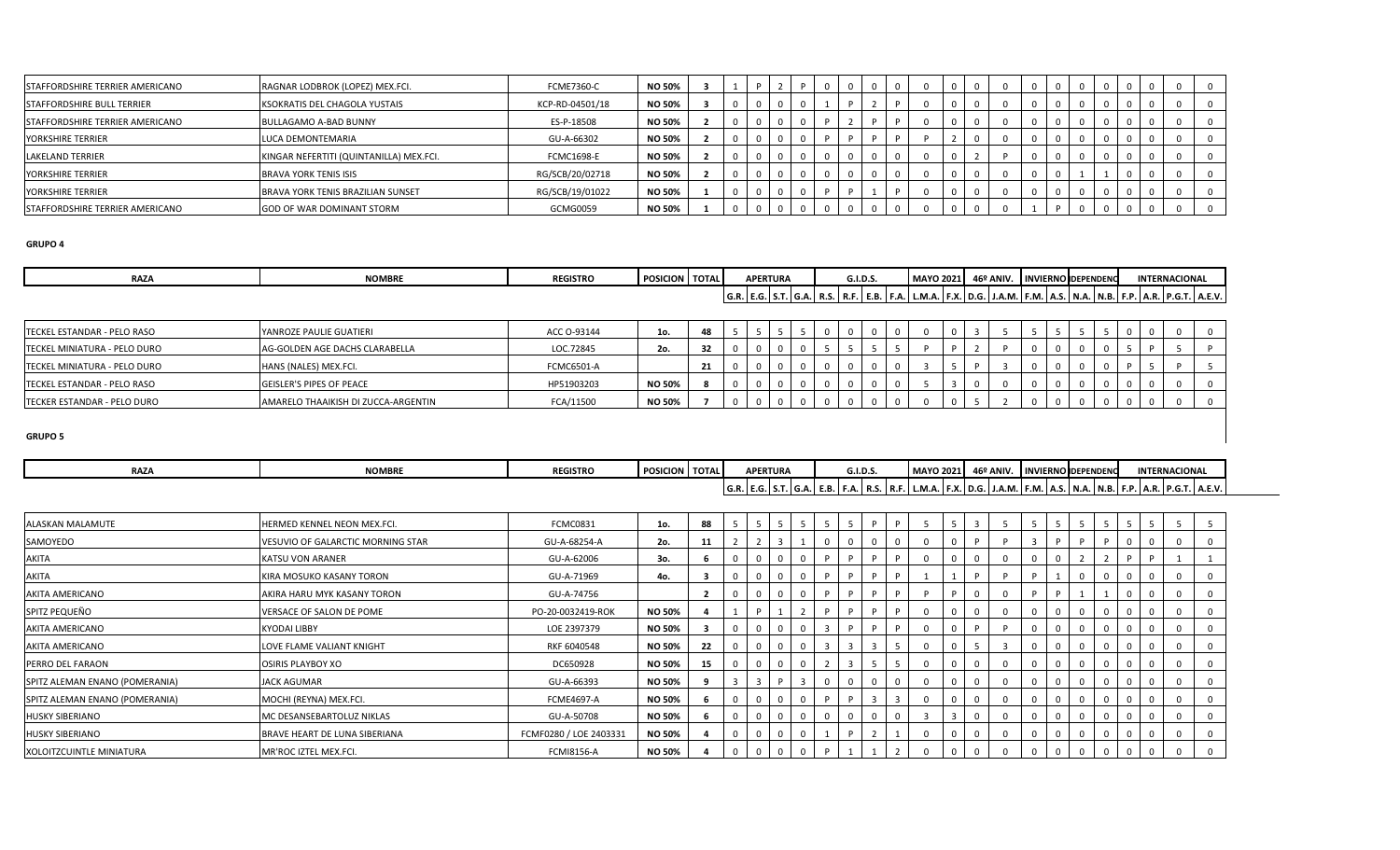| <b>STAFFORDSHIRE TERRIER AMERICANO</b> | RAGNAR LODBROK (LOPEZ) MEX.FCI.         | <b>FCME7360-C</b> | <b>NO 50%</b> |  |  |  |  |  |  |  |  |  |  |
|----------------------------------------|-----------------------------------------|-------------------|---------------|--|--|--|--|--|--|--|--|--|--|
| STAFFORDSHIRE BULL TERRIER             | KSOKRATIS DEL CHAGOLA YUSTAIS           | KCP-RD-04501/18   | <b>NO 50%</b> |  |  |  |  |  |  |  |  |  |  |
| STAFFORDSHIRE TERRIER AMERICANO        | <b>BULLAGAMO A-BAD BUNNY</b>            | ES-P-18508        | <b>NO 50%</b> |  |  |  |  |  |  |  |  |  |  |
| YORKSHIRE TERRIER                      | LUCA DEMONTEMARIA                       | GU-A-66302        | <b>NO 50%</b> |  |  |  |  |  |  |  |  |  |  |
| <b>LAKELAND TERRIER</b>                | KINGAR NEFERTITI (QUINTANILLA) MEX.FCI. | <b>FCMC1698-E</b> | <b>NO 50%</b> |  |  |  |  |  |  |  |  |  |  |
| YORKSHIRE TERRIER                      | <b>BRAVA YORK TENIS ISIS</b>            | RG/SCB/20/02718   | <b>NO 50%</b> |  |  |  |  |  |  |  |  |  |  |
| YORKSHIRE TERRIER                      | BRAVA YORK TENIS BRAZILIAN SUNSET       | RG/SCB/19/01022   | <b>NO 50%</b> |  |  |  |  |  |  |  |  |  |  |
| STAFFORDSHIRE TERRIER AMERICANO        | <b>GOD OF WAR DOMINANT STORM</b>        | GCMG0059          | <b>NO 50%</b> |  |  |  |  |  |  |  |  |  |  |

| <b>RAZA</b>                          | <b>NOMBRE</b>                       | <b>REGISTRO</b>   | <b>POSICION</b> TOTAL |    |  | <b>APERTURA</b> |  | G.I.D.S. |  |  | MAYO 2021 46º ANIV. INVIERNO DEPENDENC |  |  |  | <b>INTERNACIONAL</b> |                                                                                                                                                   |
|--------------------------------------|-------------------------------------|-------------------|-----------------------|----|--|-----------------|--|----------|--|--|----------------------------------------|--|--|--|----------------------|---------------------------------------------------------------------------------------------------------------------------------------------------|
|                                      |                                     |                   |                       |    |  |                 |  |          |  |  |                                        |  |  |  |                      | G.R.   E.G.   S.T.   G.A.   R.S.   R.F.   E.B.   F.A.   L.M.A.   F.X.   D.G.   J.A.M.   F.M.   A.S.   N.A.   N.B.   F.P.   A.R.   P.G.T.   A.E.V. |
|                                      |                                     |                   |                       |    |  |                 |  |          |  |  |                                        |  |  |  |                      |                                                                                                                                                   |
| TECKEL ESTANDAR - PELO RASO          | YANROZE PAULIE GUATIERI             | ACC 0-93144       | 1o.                   | 48 |  |                 |  |          |  |  |                                        |  |  |  |                      |                                                                                                                                                   |
| TECKEL MINIATURA - PELO DURO         | AG-GOLDEN AGE DACHS CLARABELLA      | LOC.72845         | 2o.                   | 32 |  |                 |  | 5        |  |  |                                        |  |  |  |                      |                                                                                                                                                   |
| <b>ITECKEL MINIATURA - PELO DURO</b> | HANS (NALES) MEX.FCI.               | <b>FCMC6501-A</b> |                       | 21 |  |                 |  |          |  |  |                                        |  |  |  |                      |                                                                                                                                                   |
| TECKEL ESTANDAR - PELO RASO          | <b>GEISLER'S PIPES OF PEACE</b>     | HP51903203        | <b>NO 50%</b>         |    |  |                 |  |          |  |  |                                        |  |  |  |                      |                                                                                                                                                   |
| <b>ITECKER ESTANDAR - PELO DURO</b>  | AMARELO THAAIKISH DI ZUCCA-ARGENTIN | FCA/11500         | <b>NO 50%</b>         |    |  |                 |  |          |  |  |                                        |  |  |  |                      |                                                                                                                                                   |

| <b>RAZA</b>                    | <b>NOMBRE</b>                     | <b>REGISTRO</b>        | POSICION   TOTAL |                         |  | <b>APERTURA</b> |     | G.I.D.S. |  | MAYO 2021 46º ANIV. INVIERNO DEPENDENC |   |                |  |     |  |          | <b>INTERNACIONAL</b>                                                                                                                              |  |
|--------------------------------|-----------------------------------|------------------------|------------------|-------------------------|--|-----------------|-----|----------|--|----------------------------------------|---|----------------|--|-----|--|----------|---------------------------------------------------------------------------------------------------------------------------------------------------|--|
|                                |                                   |                        |                  |                         |  |                 |     |          |  |                                        |   |                |  |     |  |          | G.R.   E.G.   S.T.   G.A.   E.B.   F.A.   R.S.   R.F.   L.M.A.   F.X.   D.G.   J.A.M.   F.M.   A.S.   N.A.   N.B.   F.P.   A.R.   P.G.T.   A.E.V. |  |
| ALASKAN MALAMUTE               | HERMED KENNEL NEON MEX.FCI.       | FCMC0831               | 1o.              | 88                      |  |                 |     |          |  |                                        | 5 | $\overline{3}$ |  |     |  |          |                                                                                                                                                   |  |
| SAMOYEDO                       | VESUVIO OF GALARCTIC MORNING STAR | GU-A-68254-A           | 2o.              | 11                      |  |                 |     |          |  |                                        |   |                |  |     |  |          |                                                                                                                                                   |  |
| <b>AKITA</b>                   | <b>KATSU VON ARANER</b>           | GU-A-62006             | 3o.              |                         |  |                 |     |          |  |                                        |   |                |  |     |  | D        |                                                                                                                                                   |  |
| <b>AKITA</b>                   | KIRA MOSUKO KASANY TORON          | GU-A-71969             | 4о.              |                         |  |                 |     |          |  |                                        |   | D              |  |     |  |          |                                                                                                                                                   |  |
| <b>AKITA AMERICANO</b>         | AKIRA HARU MYK KASANY TORON       | GU-A-74756             |                  | $\overline{\mathbf{z}}$ |  |                 |     |          |  |                                        | D |                |  |     |  | $\Omega$ |                                                                                                                                                   |  |
| SPITZ PEQUEÑO                  | VERSACE OF SALON DE POME          | PO-20-0032419-ROK      | <b>NO 50%</b>    |                         |  |                 |     |          |  |                                        |   |                |  |     |  |          |                                                                                                                                                   |  |
| <b>AKITA AMERICANO</b>         | <b>KYODAI LIBBY</b>               | LOE 2397379            | <b>NO 50%</b>    | з                       |  |                 | - 3 |          |  |                                        |   | P              |  | - 0 |  | 0        |                                                                                                                                                   |  |
| AKITA AMERICANO                | LOVE FLAME VALIANT KNIGHT         | RKF 6040548            | NO 50%           | 22                      |  |                 | -3  |          |  |                                        |   | - 5            |  |     |  |          |                                                                                                                                                   |  |
| PERRO DEL FARAON               | <b>OSIRIS PLAYBOY XO</b>          | DC650928               | <b>NO 50%</b>    | 15                      |  |                 |     |          |  |                                        |   |                |  |     |  |          |                                                                                                                                                   |  |
| SPITZ ALEMAN ENANO (POMERANIA) | <b>JACK AGUMAR</b>                | GU-A-66393             | <b>NO 50%</b>    |                         |  |                 |     |          |  |                                        |   |                |  |     |  |          |                                                                                                                                                   |  |
| SPITZ ALEMAN ENANO (POMERANIA) | MOCHI (REYNA) MEX.FCI.            | <b>FCME4697-A</b>      | <b>NO 50%</b>    |                         |  |                 |     |          |  |                                        |   |                |  | -0  |  | 0        |                                                                                                                                                   |  |
| <b>HUSKY SIBERIANO</b>         | MC DESANSEBARTOLUZ NIKLAS         | GU-A-50708             | <b>NO 50%</b>    |                         |  |                 |     |          |  |                                        |   |                |  |     |  |          |                                                                                                                                                   |  |
| <b>HUSKY SIBERIANO</b>         | BRAVE HEART DE LUNA SIBERIANA     | FCMF0280 / LOE 2403331 | <b>NO 50%</b>    |                         |  |                 |     |          |  |                                        |   |                |  |     |  | $\Omega$ |                                                                                                                                                   |  |
| XOLOITZCUINTLE MINIATURA       | MR'ROC IZTEL MEX.FCI.             | <b>FCMI8156-A</b>      | <b>NO 50%</b>    |                         |  |                 |     |          |  |                                        |   |                |  |     |  |          |                                                                                                                                                   |  |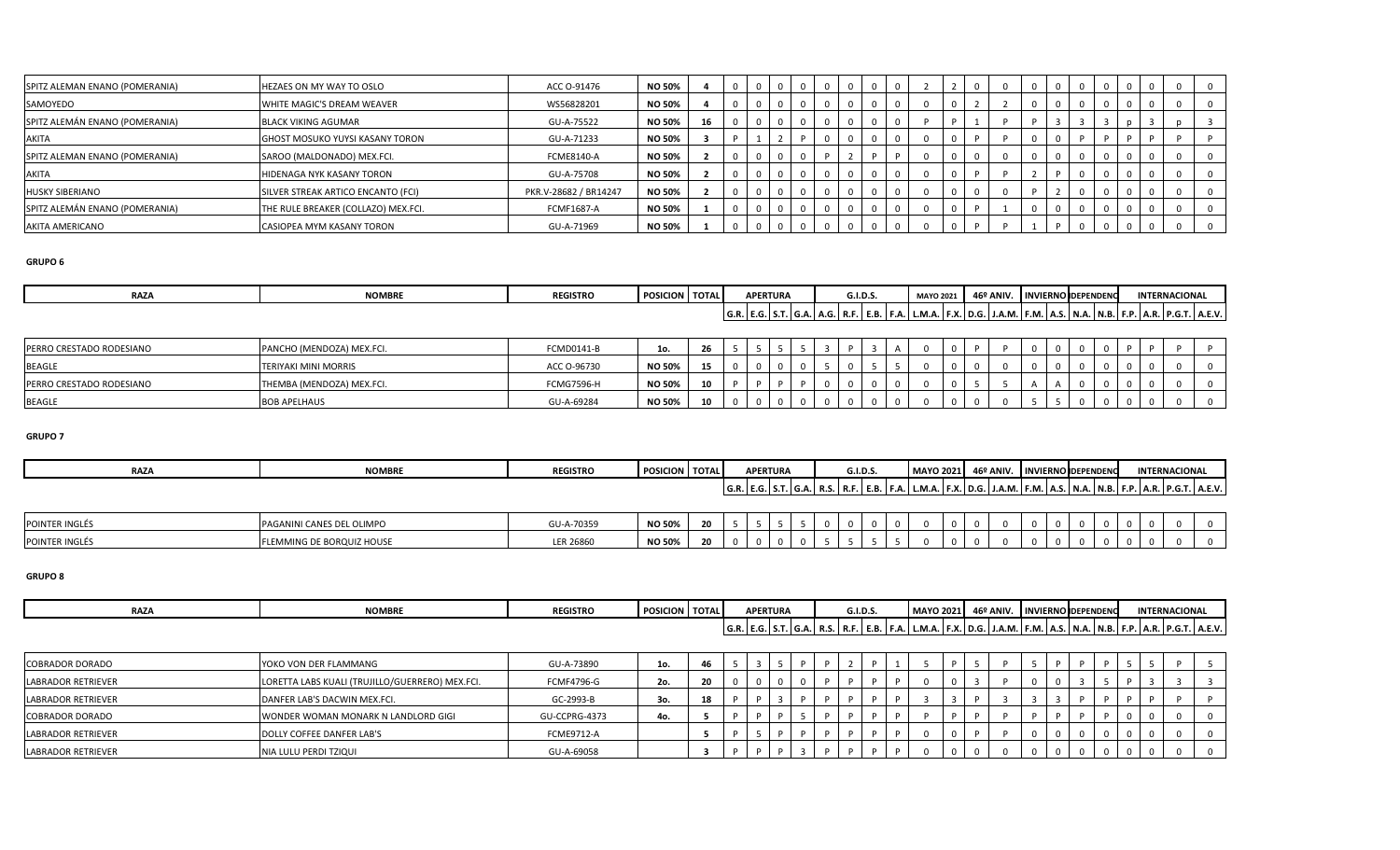| SPITZ ALEMAN ENANO (POMERANIA) | HEZAES ON MY WAY TO OSLO            | ACC 0-91476           | <b>NO 50%</b> |    |  |  |  |  |  |  |  |  |  |  |
|--------------------------------|-------------------------------------|-----------------------|---------------|----|--|--|--|--|--|--|--|--|--|--|
| SAMOYEDO                       | WHITE MAGIC'S DREAM WEAVER          | WS56828201            | <b>NO 50%</b> |    |  |  |  |  |  |  |  |  |  |  |
| SPITZ ALEMÁN ENANO (POMERANIA) | <b>BLACK VIKING AGUMAR</b>          | GU-A-75522            | <b>NO 50%</b> | 16 |  |  |  |  |  |  |  |  |  |  |
| AKITA                          | GHOST MOSUKO YUYSI KASANY TORON     | GU-A-71233            | <b>NO 50%</b> |    |  |  |  |  |  |  |  |  |  |  |
| SPITZ ALEMAN ENANO (POMERANIA) | SAROO (MALDONADO) MEX.FCI.          | <b>FCME8140-A</b>     | <b>NO 50%</b> |    |  |  |  |  |  |  |  |  |  |  |
| AKITA                          | HIDENAGA NYK KASANY TORON           | GU-A-75708            | <b>NO 50%</b> |    |  |  |  |  |  |  |  |  |  |  |
| <b>HUSKY SIBERIANO</b>         | SILVER STREAK ARTICO ENCANTO (FCI)  | PKR.V-28682 / BR14247 | <b>NO 50%</b> |    |  |  |  |  |  |  |  |  |  |  |
| SPITZ ALEMÁN ENANO (POMERANIA) | THE RULE BREAKER (COLLAZO) MEX.FCI. | <b>FCMF1687-A</b>     | <b>NO 50%</b> |    |  |  |  |  |  |  |  |  |  |  |
| AKITA AMERICANO                | CASIOPEA MYM KASANY TORON           | GU-A-71969            | <b>NO 50%</b> |    |  |  |  |  |  |  |  |  |  |  |

| <b>RAZA</b>              | <b>NOMBRE</b>               | <b>REGISTRO</b> | <b>POSICION TOTAL</b> |    |          | <b>APERTURA</b> |  | <b>G.I.D.S.</b> | <b>MAYO 2021</b> |  | 46º ANIV. INVIERNO DEPENDENC |  |  |  | <b>INTERNACIONAL</b> |                                                                                                                                                   |
|--------------------------|-----------------------------|-----------------|-----------------------|----|----------|-----------------|--|-----------------|------------------|--|------------------------------|--|--|--|----------------------|---------------------------------------------------------------------------------------------------------------------------------------------------|
|                          |                             |                 |                       |    |          |                 |  |                 |                  |  |                              |  |  |  |                      | G.R.   E.G.   S.T.   G.A.   A.G.   R.F.   E.B.   F.A.   L.M.A.   F.X.   D.G.   J.A.M.   F.M.   A.S.   N.A.   N.B.   F.P.   A.R.   P.G.T.   A.E.V. |
|                          |                             |                 |                       |    |          |                 |  |                 |                  |  |                              |  |  |  |                      |                                                                                                                                                   |
| PERRO CRESTADO RODESIANO | PANCHO (MENDOZA) MEX.FCI.   | FCMD0141-B      | 1o.                   | 26 |          |                 |  |                 |                  |  |                              |  |  |  |                      |                                                                                                                                                   |
| <b>BEAGLE</b>            | <b>TERIYAKI MINI MORRIS</b> | ACC O-96730     | <b>NO 50%</b>         | 15 |          |                 |  |                 |                  |  |                              |  |  |  |                      |                                                                                                                                                   |
| PERRO CRESTADO RODESIANO | THEMBA (MENDOZA) MEX.FCI.   | FCMG7596-H      | <b>NO 50%</b>         | 10 | <b>D</b> |                 |  |                 |                  |  |                              |  |  |  |                      |                                                                                                                                                   |
| <b>BEAGLE</b>            | <b>BOB APELHAUS</b>         | GU-A-69284      | <b>NO 50%</b>         | 10 |          |                 |  |                 |                  |  |                              |  |  |  |                      |                                                                                                                                                   |

### **GRUPO 7**

| <b>RAZA</b> | NIORADO<br><b>NUMBR.</b> | <b>REGISTRO</b> | POSICION TOTAL | <b>APERTURA</b>                                              | <b>G.I.D.S</b> | <b>MAYO 2021</b>       | ACO ABIIL<br>= AIVIV |                  | <b>INVIERNO DEPENDENC</b> | <b>INTERNACIONAL</b>                            |
|-------------|--------------------------|-----------------|----------------|--------------------------------------------------------------|----------------|------------------------|----------------------|------------------|---------------------------|-------------------------------------------------|
|             |                          |                 |                | $\overline{\phantom{a}}$<br>  G.R.   E.G.   S.T.   G. $\sim$ | .              | <b>. .</b><br>L.1V1.A. | $\mathbf{r}$         | . .<br>F.M. A.S. | 1.D. I F.F<br>.           | $\blacksquare$<br>IE D.<br><b>ACM</b><br>. . А. |

| <b>POINTER INGLES</b> | ANES DEL OLIMPO<br><b>PAGANINI CANES</b>                    | GU-A-70359       | <b>NO 50%</b> | $\sim$<br>δu |  |  |  |  |  |  |  |  |  |  |
|-----------------------|-------------------------------------------------------------|------------------|---------------|--------------|--|--|--|--|--|--|--|--|--|--|
| <b>POINTER INGLES</b> | : BORQUIZ HOUSE<br><b>ENAMING DE BUIL</b><br><b>FLEIVII</b> | <b>LER 26860</b> | <b>NO 50%</b> | $\sim$<br>-- |  |  |  |  |  |  |  |  |  |  |

| <b>RA74</b><br>. <i>. .</i> | NIONADD<br><b>INVINIDR</b> | <b>REGISTRO</b> | <b>POSICIAL</b> | <b>TOTAL</b> | <b>APERTURA</b>           | <b>G.I.D.S</b> | $-0.02$<br><b>MAYO</b>                       | $ACO$ ANID<br>: AIVIV | <b>LIAD 40</b><br>. <u>.</u> | <b>'IERNO DEPENDENO</b> | <b>INTERNACIONAL</b>                                                                         |
|-----------------------------|----------------------------|-----------------|-----------------|--------------|---------------------------|----------------|----------------------------------------------|-----------------------|------------------------------|-------------------------|----------------------------------------------------------------------------------------------|
|                             |                            |                 |                 |              | G.R.   E.G.   S.T.   G.A. | .              | <b>B</b> 8<br>  L.W.A.   F.A.   D.G.   J.A.N | $\overline{a}$        | 4. IF.M. IA.S.               | .                       | <b>plpct</b><br>IE D.<br><b>ACM</b><br>1.D. I F.F<br>. . м. т<br>11. I F. J. I. I A. L. V. I |

| <b>COBRADOR DORADO</b>    | YOKO VON DER FLAMMANG                           | GU-A-73890        | 1o. | 46                |  |  |  |  |  |  |  |  |  |  |
|---------------------------|-------------------------------------------------|-------------------|-----|-------------------|--|--|--|--|--|--|--|--|--|--|
| <b>LABRADOR RETRIEVER</b> | LORETTA LABS KUALI (TRUJILLO/GUERRERO) MEX.FCI. | <b>FCMF4796-G</b> | 2o. | $\mathbf{a}$<br>∼ |  |  |  |  |  |  |  |  |  |  |
| <b>LABRADOR RETRIEVER</b> | DANFER LAB'S DACWIN MEX.FCI.                    | GC-2993-B         | 30. |                   |  |  |  |  |  |  |  |  |  |  |
| <b>COBRADOR DORADO</b>    | WONDER WOMAN MONARK N LANDLORD GIGI             | GU-CCPRG-4373     | 4o. |                   |  |  |  |  |  |  |  |  |  |  |
| LABRADOR RETRIEVER        | DOLLY COFFEE DANFER LAB'S                       | <b>FCME9712-A</b> |     |                   |  |  |  |  |  |  |  |  |  |  |
| <b>LABRADOR RETRIEVER</b> | NIA LULU PERDI TZIQUI                           | GU-A-69058        |     |                   |  |  |  |  |  |  |  |  |  |  |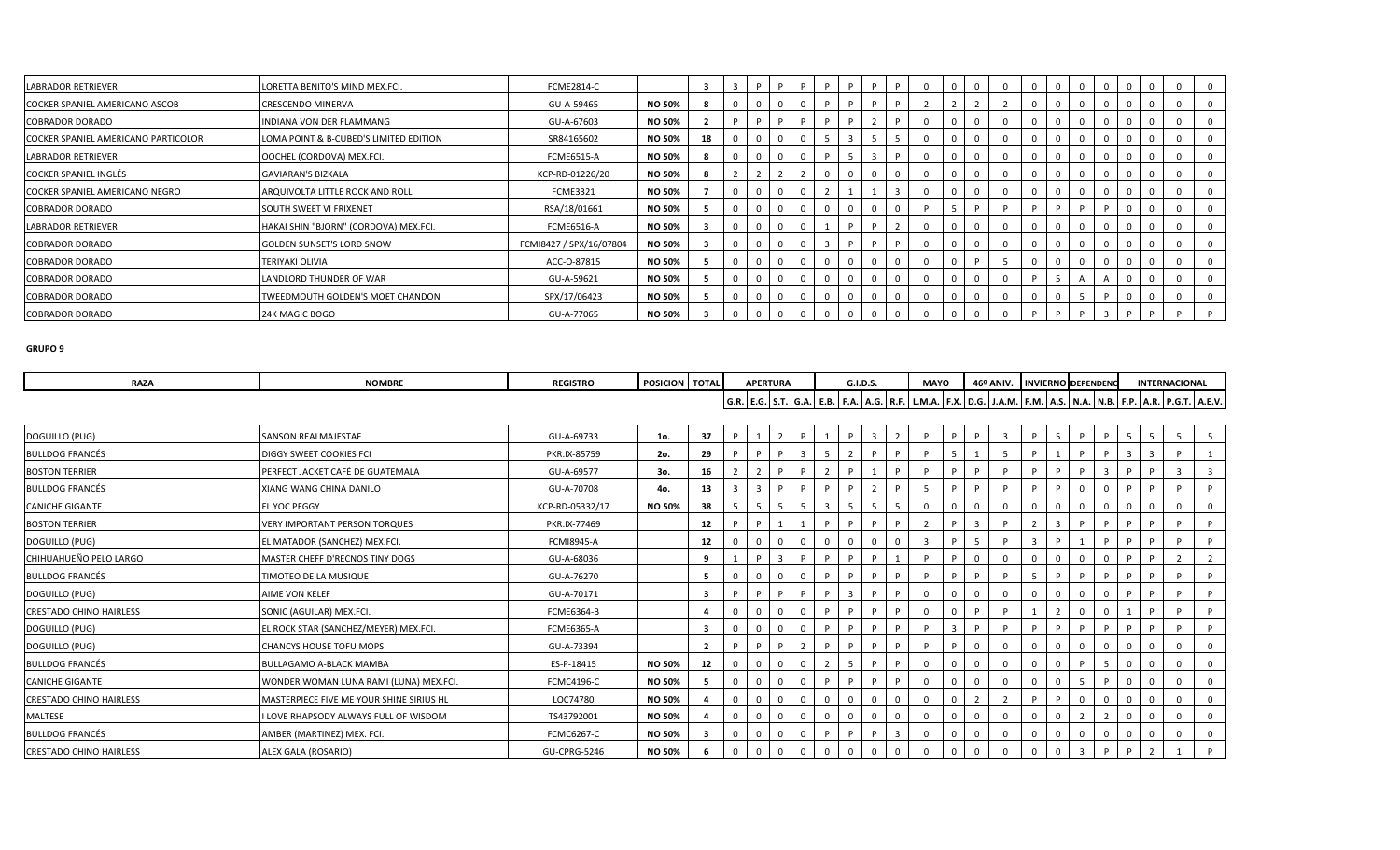| <b>LABRADOR RETRIEVER</b>           | LORETTA BENITO'S MIND MEX.FCI.         | <b>FCME2814-C</b>       |               | -3 |  | D | D |              |  |          |  |   |  |          |  |          |
|-------------------------------------|----------------------------------------|-------------------------|---------------|----|--|---|---|--------------|--|----------|--|---|--|----------|--|----------|
| COCKER SPANIEL AMERICANO ASCOB      | CRESCENDO MINERVA                      | GU-A-59465              | <b>NO 50%</b> |    |  |   |   |              |  |          |  |   |  |          |  |          |
| <b>COBRADOR DORADO</b>              | INDIANA VON DER FLAMMANG               | GU-A-67603              | <b>NO 50%</b> |    |  | D |   |              |  |          |  |   |  |          |  |          |
| COCKER SPANIEL AMERICANO PARTICOLOR | LOMA POINT & B-CUBED'S LIMITED EDITION | SR84165602              | <b>NO 50%</b> | 18 |  |   |   |              |  |          |  |   |  |          |  |          |
| <b>LABRADOR RETRIEVER</b>           | OOCHEL (CORDOVA) MEX.FCI.              | <b>FCME6515-A</b>       | <b>NO 50%</b> |    |  |   |   | $\mathbf{R}$ |  | $\Omega$ |  |   |  |          |  | 0        |
| <b>COCKER SPANIEL INGLÉS</b>        | <b>GAVIARAN'S BIZKALA</b>              | KCP-RD-01226/20         | <b>NO 50%</b> |    |  |   |   |              |  |          |  |   |  |          |  |          |
| COCKER SPANIEL AMERICANO NEGRO      | ARQUIVOLTA LITTLE ROCK AND ROLL        | <b>FCME3321</b>         | <b>NO 50%</b> |    |  |   |   |              |  |          |  |   |  |          |  | 0        |
| <b>COBRADOR DORADO</b>              | <b>SOUTH SWEET VI FRIXENET</b>         | RSA/18/01661            | <b>NO 50%</b> |    |  |   |   |              |  |          |  |   |  |          |  | $\Omega$ |
| <b>LABRADOR RETRIEVER</b>           | HAKAI SHIN "BJORN" (CORDOVA) MEX.FCI.  | <b>FCME6516-A</b>       | <b>NO 50%</b> |    |  |   |   |              |  |          |  |   |  |          |  | 0        |
| <b>COBRADOR DORADO</b>              | <b>GOLDEN SUNSET'S LORD SNOW</b>       | FCMI8427 / SPX/16/07804 | <b>NO 50%</b> |    |  |   |   |              |  |          |  |   |  |          |  |          |
| <b>COBRADOR DORADO</b>              | TERIYAKI OLIVIA                        | ACC-O-87815             | <b>NO 50%</b> |    |  |   |   |              |  | $\Omega$ |  | 0 |  | $\Omega$ |  | 0        |
| <b>COBRADOR DORADO</b>              | LANDLORD THUNDER OF WAR                | GU-A-59621              | <b>NO 50%</b> |    |  |   |   |              |  | $\Omega$ |  |   |  |          |  | 0        |
| <b>COBRADOR DORADO</b>              | TWEEDMOUTH GOLDEN'S MOET CHANDON       | SPX/17/06423            | <b>NO 50%</b> |    |  |   |   |              |  |          |  |   |  |          |  |          |
| <b>COBRADOR DORADO</b>              | 24K MAGIC BOGO                         | GU-A-77065              | <b>NO 50%</b> |    |  |   |   |              |  |          |  |   |  |          |  |          |

| <b>RAZA</b>                    | <b>NOMBRE</b>                            | <b>REGISTRO</b>   | POSICION   TOTAL |                         |   |                         | <b>APERTURA</b> |              |    | G.I.D.S. |                |                | <b>MAYO</b>                                                                                                                                       |          |              | 46º ANIV. INVIERNO DEPENDENC |   |                |                |   |          |             | <b>INTERNACIONAL</b> |                |
|--------------------------------|------------------------------------------|-------------------|------------------|-------------------------|---|-------------------------|-----------------|--------------|----|----------|----------------|----------------|---------------------------------------------------------------------------------------------------------------------------------------------------|----------|--------------|------------------------------|---|----------------|----------------|---|----------|-------------|----------------------|----------------|
|                                |                                          |                   |                  |                         |   |                         |                 |              |    |          |                |                | G.R.   E.G.   S.T.   G.A.   E.B.   F.A.   A.G.   R.F.   L.M.A.   F.X.   D.G.   J.A.M.   F.M.   A.S.   N.A.   N.B.   F.P.   A.R.   P.G.T.   A.E.V. |          |              |                              |   |                |                |   |          |             |                      |                |
|                                |                                          |                   |                  |                         |   |                         |                 |              |    |          |                |                |                                                                                                                                                   |          |              |                              |   |                |                |   |          |             |                      |                |
| DOGUILLO (PUG)                 | SANSON REALMAJESTAF                      | GU-A-69733        | 1o.              | 37                      |   |                         | $\mathcal{P}$   | P            |    | D        | $\overline{3}$ | $\overline{2}$ | D                                                                                                                                                 | <b>P</b> | P.           |                              | D | $5^{\circ}$    | D              | D | -5       | -5          | -5                   | 5 <sup>1</sup> |
| <b>BULLDOG FRANCÉS</b>         | DIGGY SWEET COOKIES FCI                  | PKR.IX-85759      | 2o.              | 29                      |   |                         |                 | $\mathbf{a}$ | -5 |          |                |                |                                                                                                                                                   |          |              |                              |   |                |                |   | -3       | -3          |                      |                |
| <b>BOSTON TERRIER</b>          | PERFECT JACKET CAFÉ DE GUATEMALA         | GU-A-69577        | 3о.              | 16                      |   |                         |                 |              |    |          |                | <b>P</b>       |                                                                                                                                                   | P        | D            |                              |   | D              |                |   |          |             | $\overline{3}$       | $\overline{3}$ |
| <b>BULLDOG FRANCÉS</b>         | XIANG WANG CHINA DANILO                  | GU-A-70708        | 4o.              | 13                      |   | $\overline{\mathbf{z}}$ |                 |              |    |          | $\overline{2}$ | D              |                                                                                                                                                   |          |              |                              |   | D              |                |   |          |             |                      |                |
| <b>CANICHE GIGANTE</b>         | <b>EL YOC PEGGY</b>                      | KCP-RD-05332/17   | <b>NO 50%</b>    | 38                      |   | -5                      | 5               | -5           | 3  | -5       | 5              | 5              |                                                                                                                                                   | $\Omega$ | 0            |                              |   |                |                |   |          | $\mathbf 0$ |                      | $\mathbf{0}$   |
| <b>BOSTON TERRIER</b>          | <b>VERY IMPORTANT PERSON TORQUES</b>     | PKR.IX-77469      |                  | 12                      |   |                         |                 |              | P  | D        | P              | P.             |                                                                                                                                                   | D        | $\mathbf{3}$ |                              |   | $\overline{3}$ |                |   |          |             |                      |                |
| DOGUILLO (PUG)                 | EL MATADOR (SANCHEZ) MEX.FCI.            | <b>FCMI8945-A</b> |                  | 12                      |   |                         | $\Omega$        |              |    |          |                |                |                                                                                                                                                   |          |              |                              |   |                |                |   |          |             |                      |                |
| CHIHUAHUEÑO PELO LARGO         | MASTER CHEFF D'RECNOS TINY DOGS          | GU-A-68036        |                  | 9                       |   |                         | 3               |              |    |          | D              |                | D                                                                                                                                                 |          | $\Omega$     | $\Omega$                     |   |                |                |   |          |             | ຳ                    | $\overline{2}$ |
| <b>BULLDOG FRANCÉS</b>         | TIMOTEO DE LA MUSIQUE                    | GU-A-76270        |                  | 5                       |   |                         | $\mathbf 0$     |              | D  |          | <b>P</b>       | P.             |                                                                                                                                                   | D        |              |                              |   | D              |                |   |          |             |                      |                |
| DOGUILLO (PUG)                 | AIME VON KELEF                           | GU-A-70171        |                  | $\overline{\mathbf{3}}$ |   |                         |                 |              |    |          | D              |                |                                                                                                                                                   |          | $\Omega$     | $\Omega$                     |   |                |                |   |          |             |                      |                |
| <b>CRESTADO CHINO HAIRLESS</b> | SONIC (AGUILAR) MEX.FCI                  | <b>FCME6364-B</b> |                  | -4                      |   |                         | 0               |              |    |          | P.             | P              |                                                                                                                                                   | $\Omega$ | D            |                              |   |                | $\Omega$       |   |          |             |                      |                |
| DOGUILLO (PUG)                 | EL ROCK STAR (SANCHEZ/MEYER) MEX.FCI.    | <b>FCME6365-A</b> |                  | $\overline{\mathbf{3}}$ |   |                         | $\Omega$        |              | D  | P        | P              | P.             |                                                                                                                                                   | 3        | D            |                              |   | P.             |                | D | D        | D           |                      | P              |
| DOGUILLO (PUG)                 | <b>CHANCYS HOUSE TOFU MOPS</b>           | GU-A-73394        |                  | $\overline{2}$          |   |                         |                 |              |    |          |                |                |                                                                                                                                                   |          |              |                              |   |                |                |   |          |             |                      |                |
| <b>BULLDOG FRANCÉS</b>         | <b>BULLAGAMO A-BLACK MAMBA</b>           | ES-P-18415        | NO 50%           | 12                      |   |                         | $\Omega$        |              |    | -5       | P              | <b>P</b>       |                                                                                                                                                   | $\Omega$ | $\Omega$     |                              |   |                |                |   |          | $\mathbf 0$ |                      | $\mathbf{0}$   |
| <b>CANICHE GIGANTE</b>         | WONDER WOMAN LUNA RAMI (LUNA) MEX.FCI.   | <b>FCMC4196-C</b> | <b>NO 50%</b>    | -5                      | 0 |                         | $\Omega$        |              |    |          | D              | D              |                                                                                                                                                   | $\Omega$ |              | $\Omega$                     |   |                |                |   |          | - 0         |                      | $\mathbf{0}$   |
| <b>CRESTADO CHINO HAIRLESS</b> | MASTERPIECE FIVE ME YOUR SHINE SIRIUS HL | LOC74780          | <b>NO 50%</b>    |                         |   |                         | $\Omega$        |              |    |          |                | $\Omega$       |                                                                                                                                                   | $\Omega$ |              |                              |   |                |                |   |          |             |                      | $\mathbf 0$    |
| MALTESE                        | I LOVE RHAPSODY ALWAYS FULL OF WISDOM    | TS43792001        | <b>NO 50%</b>    |                         |   |                         | $\mathbf 0$     | 0            |    | $\Omega$ |                | $\mathbf 0$    |                                                                                                                                                   | $\Omega$ | $\Omega$     | $\Omega$                     |   | $\Omega$       | $\overline{2}$ |   | $\Omega$ | $\mathbf 0$ |                      | $\mathbf{0}$   |
| <b>BULLDOG FRANCÉS</b>         | AMBER (MARTINEZ) MEX. FCI.               | <b>FCMC6267-C</b> | <b>NO 50%</b>    |                         |   |                         | $\Omega$        | - 0          | P  |          | <b>D</b>       | $\overline{3}$ |                                                                                                                                                   |          | $\Omega$     | $\Omega$                     |   |                |                |   |          | - 0         |                      | $\mathbf{0}$   |
| <b>CRESTADO CHINO HAIRLESS</b> | ALEX GALA (ROSARIO)                      | GU-CPRG-5246      | <b>NO 50%</b>    |                         |   |                         | 0               |              |    | 0        |                |                |                                                                                                                                                   | $\Omega$ | $\mathbf 0$  |                              |   |                |                |   |          |             |                      |                |